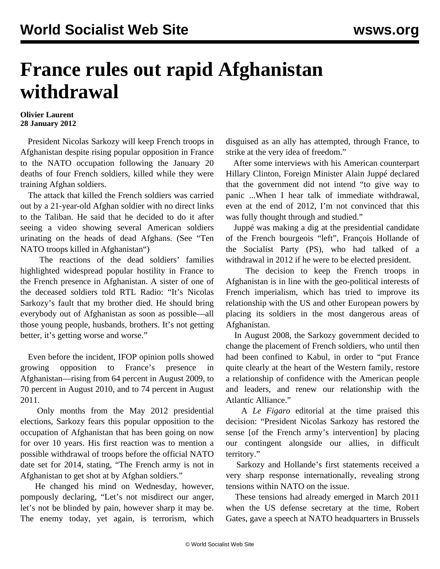## **France rules out rapid Afghanistan withdrawal**

## **Olivier Laurent 28 January 2012**

 President Nicolas Sarkozy will keep French troops in Afghanistan despite rising popular opposition in France to the NATO occupation following the January 20 deaths of four French soldiers, killed while they were training Afghan soldiers.

 The attack that killed the French soldiers was carried out by a 21-year-old Afghan soldier with no direct links to the Taliban. He said that he decided to do it after seeing a video showing several American soldiers urinating on the heads of dead Afghans. (See "[Ten](/en/articles/2012/jan2012/afgh-j21.shtml) [NATO troops killed in Afghanistan"](/en/articles/2012/jan2012/afgh-j21.shtml))

 The reactions of the dead soldiers' families highlighted widespread popular hostility in France to the French presence in Afghanistan. A sister of one of the deceased soldiers told RTL Radio: "It's Nicolas Sarkozy's fault that my brother died. He should bring everybody out of Afghanistan as soon as possible—all those young people, husbands, brothers. It's not getting better, it's getting worse and worse."

 Even before the incident, IFOP opinion polls showed growing opposition to France's presence in Afghanistan—rising from 64 percent in August 2009, to 70 percent in August 2010, and to 74 percent in August 2011.

 Only months from the May 2012 presidential elections, Sarkozy fears this popular opposition to the occupation of Afghanistan that has been going on now for over 10 years. His first reaction was to mention a possible withdrawal of troops before the official NATO date set for 2014, stating, "The French army is not in Afghanistan to get shot at by Afghan soldiers."

 He changed his mind on Wednesday, however, pompously declaring, "Let's not misdirect our anger, let's not be blinded by pain, however sharp it may be. The enemy today, yet again, is terrorism, which disguised as an ally has attempted, through France, to strike at the very idea of freedom."

 After some interviews with his American counterpart Hillary Clinton, Foreign Minister Alain Juppé declared that the government did not intend "to give way to panic ...When I hear talk of immediate withdrawal, even at the end of 2012, I'm not convinced that this was fully thought through and studied."

 Juppé was making a dig at the presidential candidate of the French bourgeois "left", François Hollande of the Socialist Party (PS), who had talked of a withdrawal in 2012 if he were to be elected president.

 The decision to keep the French troops in Afghanistan is in line with the geo-political interests of French imperialism, which has tried to improve its relationship with the US and other European powers by placing its soldiers in the most dangerous areas of Afghanistan.

 In August 2008, the Sarkozy government decided to change the placement of French soldiers, who until then had been confined to Kabul, in order to "put France quite clearly at the heart of the Western family, restore a relationship of confidence with the American people and leaders, and renew our relationship with the Atlantic Alliance."

 A *Le Figaro* editorial at the time praised this decision: "President Nicolas Sarkozy has restored the sense [of the French army's intervention] by placing our contingent alongside our allies, in difficult territory."

 Sarkozy and Hollande's first statements received a very sharp response internationally, revealing strong tensions within NATO on the issue.

 These tensions had already emerged in March 2011 when the US defense secretary at the time, Robert Gates, gave a speech at NATO headquarters in Brussels